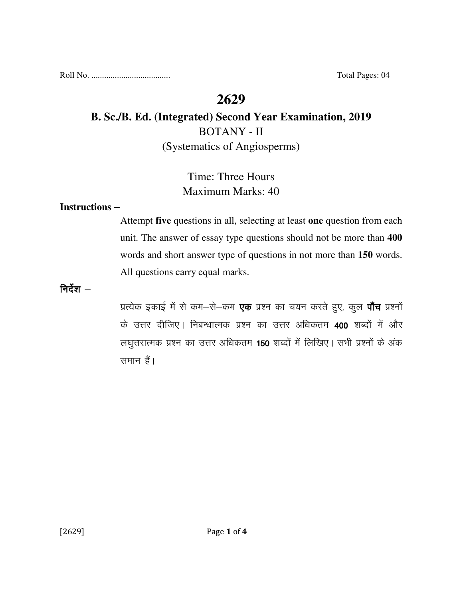Roll No. ..................................... Total Pages: 04

# **2629**

# **B. Sc./B. Ed. (Integrated) Second Year Examination, 2019**  BOTANY - II (Systematics of Angiosperms)

# Time: Three Hours Maximum Marks: 40

### **Instructions** –

Attempt **five** questions in all, selecting at least **one** question from each unit. The answer of essay type questions should not be more than **400** words and short answer type of questions in not more than **150** words. All questions carry equal marks.

निर्देश $-$ 

प्रत्येक इकाई में से कम-से-कम **एक** प्रश्न का चयन करते हुए, कुल **पाँच** प्रश्नों के उत्तर दीजिए। निबन्धात्मक प्रश्न का उत्तर अधिकतम 400 शब्दों में और लघुत्तरात्मक प्रश्न का उत्तर अधिकतम 150 शब्दों में लिखिए। सभी प्रश्नों के अंक समान हैं।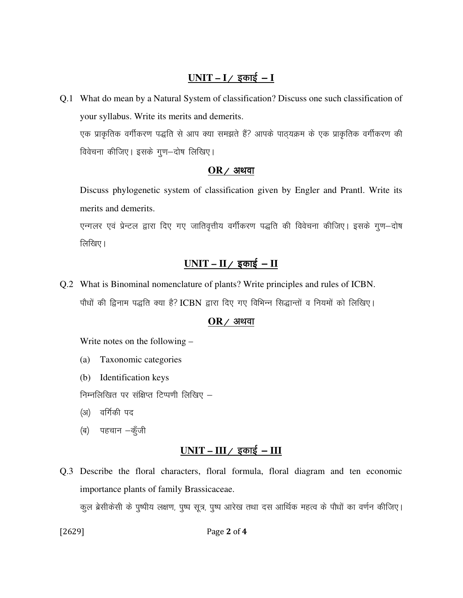## $UNIT - I /$  इकाई - **I**

Q.1 What do mean by a Natural System of classification? Discuss one such classification of your syllabus. Write its merits and demerits. एक प्राकृतिक वर्गीकरण पद्धति से आप क्या समझते हैं? आपके पाठ्यक्रम के एक प्राकृतिक वर्गीकरण की विवेचना कीजिए। इसके गुण-दोष लिखिए।

#### $OR$  / अथवा

 Discuss phylogenetic system of classification given by Engler and Prantl. Write its merits and demerits.

एन्गलर एवं प्रेन्टल द्वारा दिए गए जातिवृत्तीय वर्गीकरण पद्धति की विवेचना कीजिए। इसके गूण–दोष लिखिए।

# $UNIT - II /$  इकाई – **II**

Q.2 What is Binominal nomenclature of plants? Write principles and rules of ICBN. पौधों की द्विनाम पद्धति क्या है? ICBN द्वारा दिए गए विभिन्न सिद्धान्तों व नियमों को लिखिए।

#### $OR$  / अथवा

Write notes on the following –

- (a) Taxonomic categories
- (b) Identification keys

निम्नलिखित पर संक्षिप्त टिप्पणी लिखिए  $-$ 

- (अ) वर्गिकी पद
- (ब) पहचान -कुँजी

# $UNIT - III / \overline{x}$  काई - III

Q.3 Describe the floral characters, floral formula, floral diagram and ten economic importance plants of family Brassicaceae.

कूल ब्रेसीकेसी के पूष्पीय लक्षण, पूष्प सूत्र, पूष्प आरेख तथा दस आर्थिक महत्व के पौधों का वर्णन कीजिए।

[2629] Page 2 of 4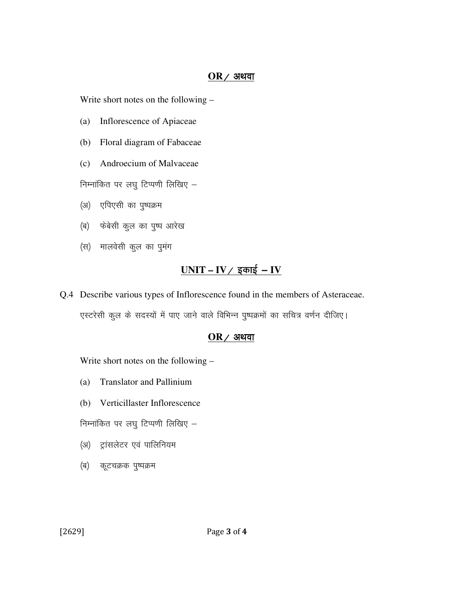#### $OR$  / अथवा

Write short notes on the following –

- (a) Inflorescence of Apiaceae
- (b) Floral diagram of Fabaceae
- (c) Androecium of Malvaceae

निम्नांकित पर लघु टिप्पणी लिखिए  $-$ 

- (अ) एपिएसी का पुष्पक्रम
- (ब) फेबेसी कुल का पुष्प आरेख
- (स) मालवेसी कूल का पुमंग

## <u>UNIT – IV / इकाई – IV</u>

Q.4 Describe various types of Inflorescence found in the members of Asteraceae.

एस्टरेसी कूल के सदस्यों में पाए जाने वाले विभिन्न पुष्पक्रमों का सचित्र वर्णन दीजिए।

#### $OR$ / अथवा

Write short notes on the following –

- (a) Translator and Pallinium
- (b) Verticillaster Inflorescence

निम्नांकित पर लघु टिप्पणी लिखिए  $-$ 

- (अ) ट्रांसलेटर एवं पालिनियम
- (ब) कूटचक्रक पुष्पक्रम